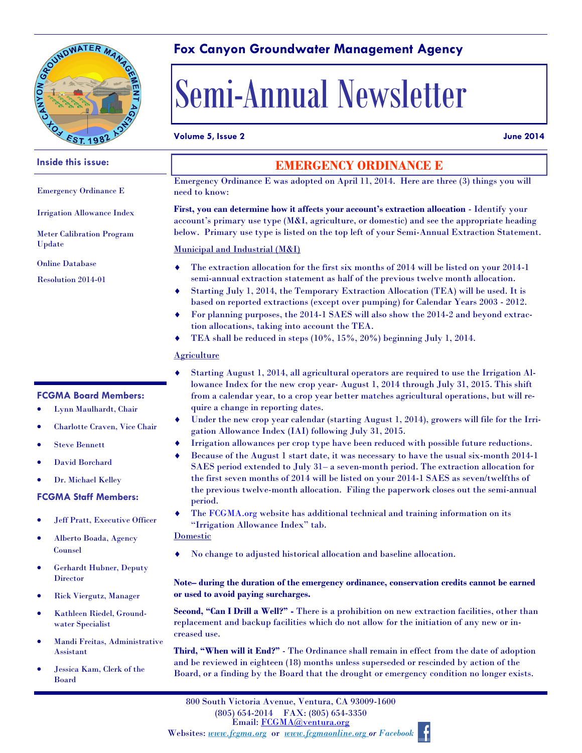

**Inside this issue:**

Emergency Ordinance E

Irrigation Allowance Index

Meter Calibration Program

Update

Online Database Resolution 2014-01

## **Fox Canyon Groundwater Management Agency**

# Semi-Annual Newsletter

#### **Volume 5, Issue 2 June 2014**

## **EMERGENCY ORDINANCE E**

Emergency Ordinance E was adopted on April 11, 2014. Here are three (3) things you will need to know:

**First, you can determine how it affects your account's extraction allocation** - Identify your account's primary use type (M&I, agriculture, or domestic) and see the appropriate heading below. Primary use type is listed on the top left of your Semi-Annual Extraction Statement.

#### Municipal and Industrial (M&I)

- The extraction allocation for the first six months of 2014 will be listed on your 2014-1 semi-annual extraction statement as half of the previous twelve month allocation.
- Starting July 1, 2014, the Temporary Extraction Allocation (TEA) will be used. It is based on reported extractions (except over pumping) for Calendar Years 2003 - 2012.
- For planning purposes, the 2014-1 SAES will also show the 2014-2 and beyond extraction allocations, taking into account the TEA.
- TEA shall be reduced in steps (10%, 15%, 20%) beginning July 1, 2014.

#### **Agriculture**

- Starting August 1, 2014, all agricultural operators are required to use the Irrigation Allowance Index for the new crop year- August 1, 2014 through July 31, 2015. This shift from a calendar year, to a crop year better matches agricultural operations, but will require a change in reporting dates.
- Under the new crop year calendar (starting August 1, 2014), growers will file for the Irrigation Allowance Index (IAI) following July 31, 2015.
- Irrigation allowances per crop type have been reduced with possible future reductions.
- Because of the August 1 start date, it was necessary to have the usual six-month 2014-1 SAES period extended to July 31– a seven-month period. The extraction allocation for the first seven months of 2014 will be listed on your 2014-1 SAES as seven/twelfths of the previous twelve-month allocation. Filing the paperwork closes out the semi-annual period.
- The FCGMA.org website has additional technical and training information on its "Irrigation Allowance Index" tab.

#### **Domestic**

No change to adjusted historical allocation and baseline allocation.

#### **Note– during the duration of the emergency ordinance, conservation credits cannot be earned or used to avoid paying surcharges.**

**Second, "Can I Drill a Well?" -** There is a prohibition on new extraction facilities, other than replacement and backup facilities which do not allow for the initiation of any new or increased use.

**Third, "When will it End?"** - The Ordinance shall remain in effect from the date of adoption and be reviewed in eighteen (18) months unless superseded or rescinded by action of the Board, or a finding by the Board that the drought or emergency condition no longer exists.



### **FCGMA Board Members:**

- Lynn Maulhardt, Chair
- Charlotte Craven, Vice Chair
- Steve Bennett
- David Borchard
- Dr. Michael Kelley

#### **FCGMA Staff Members:**

- Jeff Pratt, Executive Officer
- Alberto Boada, Agency Counsel
- Gerhardt Hubner, Deputy Director
- Rick Viergutz, Manager
- Kathleen Riedel, Groundwater Specialist
- Mandi Freitas, Administrative Assistant
- Jessica Kam, Clerk of the Board